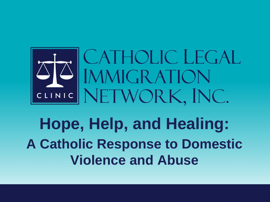

## **Hope, Help, and Healing: A Catholic Response to Domestic Violence and Abuse**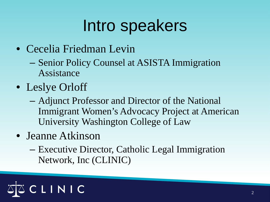## Intro speakers

- Cecelia Friedman Levin
	- Senior Policy Counsel at ASISTA Immigration Assistance
- Leslye Orloff
	- Adjunct Professor and Director of the National Immigrant Women's Advocacy Project at American University Washington College of Law
- Jeanne Atkinson
	- Executive Director, Catholic Legal Immigration Network, Inc (CLINIC)

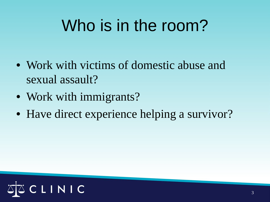# Who is in the room?

- Work with victims of domestic abuse and sexual assault?
- Work with immigrants?
- Have direct experience helping a survivor?

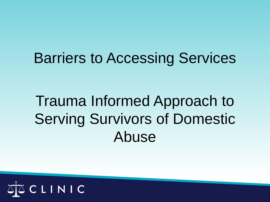#### Barriers to Accessing Services

#### Trauma Informed Approach to Serving Survivors of Domestic Abuse

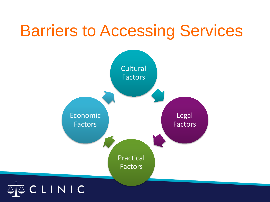## Barriers to Accessing Services

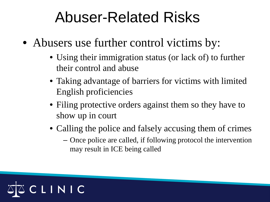#### Abuser-Related Risks

- Abusers use further control victims by:
	- Using their immigration status (or lack of) to further their control and abuse
	- Taking advantage of barriers for victims with limited English proficiencies
	- Filing protective orders against them so they have to show up in court
	- Calling the police and falsely accusing them of crimes
		- Once police are called, if following protocol the intervention may result in ICE being called

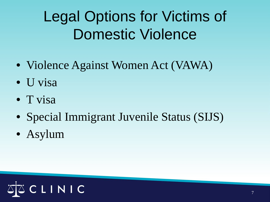## Legal Options for Victims of Domestic Violence

- Violence Against Women Act (VAWA)
- U visa
- T visa
- Special Immigrant Juvenile Status (SIJS)
- Asylum

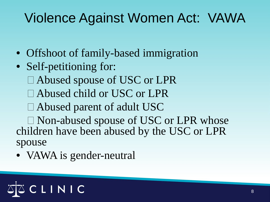#### Violence Against Women Act: VAWA

- Offshoot of family-based immigration
- Self-petitioning for:
	- □ Abused spouse of USC or LPR
	- □ Abused child or USC or LPR
	- Abused parent of adult USC
- □ Non-abused spouse of USC or LPR whose children have been abused by the USC or LPR spouse
- VAWA is gender-neutral

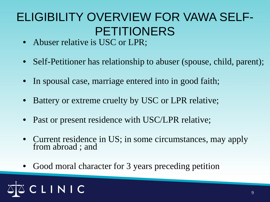#### ELIGIBILITY OVERVIEW FOR VAWA SELF-PETITIONERS

- Abuser relative is USC or LPR;
- Self-Petitioner has relationship to abuser (spouse, child, parent);
- In spousal case, marriage entered into in good faith;
- Battery or extreme cruelty by USC or LPR relative;
- Past or present residence with USC/LPR relative;
- Current residence in US; in some circumstances, may apply from abroad ; and
- Good moral character for 3 years preceding petition

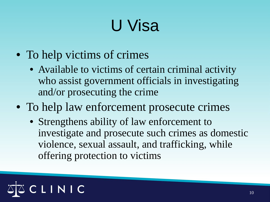# U Visa

- To help victims of crimes
	- Available to victims of certain criminal activity who assist government officials in investigating and/or prosecuting the crime
- To help law enforcement prosecute crimes
	- Strengthens ability of law enforcement to investigate and prosecute such crimes as domestic violence, sexual assault, and trafficking, while offering protection to victims

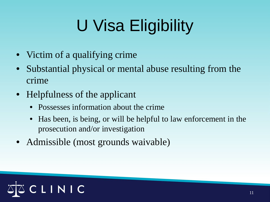# U Visa Eligibility

- Victim of a qualifying crime
- Substantial physical or mental abuse resulting from the crime
- Helpfulness of the applicant
	- Possesses information about the crime
	- Has been, is being, or will be helpful to law enforcement in the prosecution and/or investigation
- Admissible (most grounds waivable)

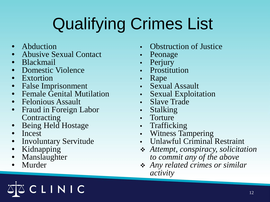# Qualifying Crimes List

- Abduction
- Abusive Sexual Contact
- Blackmail
- Domestic Violence
- Extortion
- False Imprisonment
- Female Genital Mutilation
- Felonious Assault
- Fraud in Foreign Labor **Contracting**
- Being Held Hostage
- Incest
- Involuntary Servitude

LINIC

- Kidnapping
- Manslaughter
- Murder
- Obstruction of Justice
- Peonage
- Perjury
- Prostitution
- Rape
- Sexual Assault
- Sexual Exploitation
- Slave Trade
- Stalking
- Torture
- Trafficking
- Witness Tampering
- Unlawful Criminal Restraint
- *Attempt, conspiracy, solicitation to commit any of the above*
- *Any related crimes or similar activity*

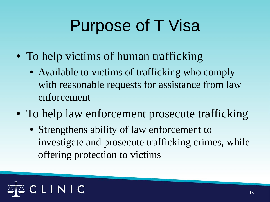# Purpose of T Visa

- To help victims of human trafficking
	- Available to victims of trafficking who comply with reasonable requests for assistance from law enforcement
- To help law enforcement prosecute trafficking
	- Strengthens ability of law enforcement to investigate and prosecute trafficking crimes, while offering protection to victims

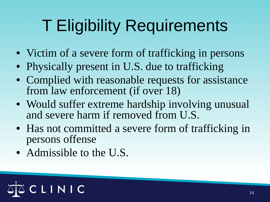# T Eligibility Requirements

- Victim of a severe form of trafficking in persons
- Physically present in U.S. due to trafficking
- Complied with reasonable requests for assistance from law enforcement (if over 18)
- Would suffer extreme hardship involving unusual and severe harm if removed from U.S.
- Has not committed a severe form of trafficking in persons offense
- Admissible to the U.S.

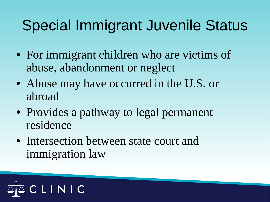#### Special Immigrant Juvenile Status

- For immigrant children who are victims of abuse, abandonment or neglect
- Abuse may have occurred in the U.S. or abroad
- Provides a pathway to legal permanent residence
- Intersection between state court and immigration law

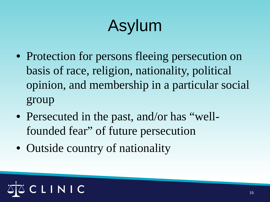# Asylum

- Protection for persons fleeing persecution on basis of race, religion, nationality, political opinion, and membership in a particular social group
- Persecuted in the past, and/or has "wellfounded fear" of future persecution
- Outside country of nationality

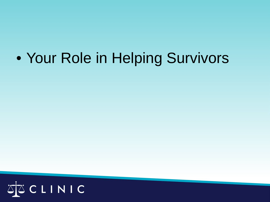#### • Your Role in Helping Survivors

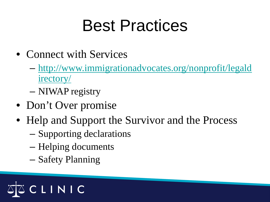# Best Practices

- Connect with Services
	- [http://www.immigrationadvocates.org/nonprofit/legald](http://www.immigrationadvocates.org/nonprofit/legaldirectory/) [irectory/](http://www.immigrationadvocates.org/nonprofit/legaldirectory/)
	- NIWAP registry
- Don't Over promise
- Help and Support the Survivor and the Process
	- Supporting declarations
	- Helping documents
	- Safety Planning

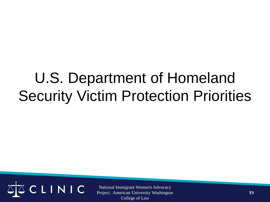#### U.S. Department of Homeland Security Victim Protection Priorities

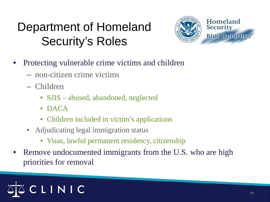#### Department of Homeland Security's Roles



- Protecting vulnerable crime victims and children
	- non-citizen crime victims
	- Children
		- SJIS abused, abandoned, neglected
		- DACA
		- Children included in victim's applications
	- Adjudicating legal immigration status
		- Visas, lawful permanent residency, citizenship
- Remove undocumented immigrants from the U.S. who are high priorities for removal

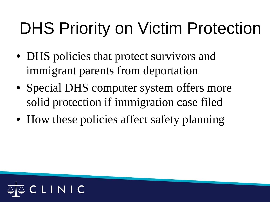# DHS Priority on Victim Protection

- DHS policies that protect survivors and immigrant parents from deportation
- Special DHS computer system offers more solid protection if immigration case filed
- How these policies affect safety planning

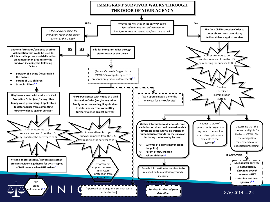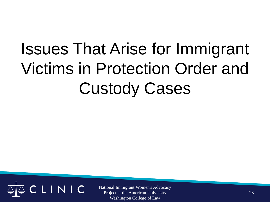# Issues That Arise for Immigrant Victims in Protection Order and Custody Cases

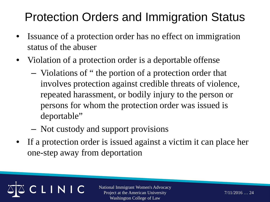#### Protection Orders and Immigration Status

- Issuance of a protection order has no effect on immigration status of the abuser
- Violation of a protection order is a deportable offense
	- Violations of " the portion of a protection order that involves protection against credible threats of violence, repeated harassment, or bodily injury to the person or persons for whom the protection order was issued is deportable"
	- Not custody and support provisions

LINIC

• If a protection order is issued against a victim it can place her one-step away from deportation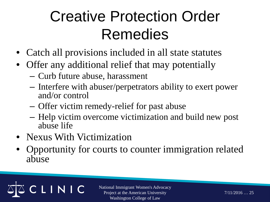## Creative Protection Order Remedies

- Catch all provisions included in all state statutes
- Offer any additional relief that may potentially
	- Curb future abuse, harassment
	- Interfere with abuser/perpetrators ability to exert power and/or control
	- Offer victim remedy-relief for past abuse
	- Help victim overcome victimization and build new post abuse life
- Nexus With Victimization

LINIC

• Opportunity for courts to counter immigration related abuse

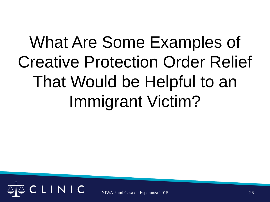# What Are Some Examples of Creative Protection Order Relief That Would be Helpful to an Immigrant Victim?

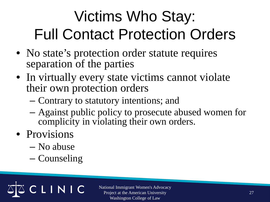## Victims Who Stay: Full Contact Protection Orders

- No state's protection order statute requires separation of the parties
- In virtually every state victims cannot violate their own protection orders
	- Contrary to statutory intentions; and
	- Against public policy to prosecute abused women for complicity in violating their own orders.
- Provisions
	- No abuse
	- Counseling

LINIC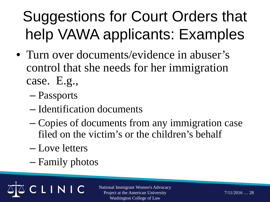## Suggestions for Court Orders that help VAWA applicants: Examples

- Turn over documents/evidence in abuser's control that she needs for her immigration case. E.g.,
	- Passports
	- Identification documents
	- Copies of documents from any immigration case filed on the victim's or the children's behalf
	- Love letters
	- Family photos

LINIC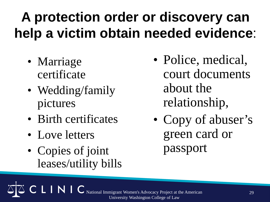#### **A protection order or discovery can help a victim obtain needed evidence**:

- Marriage certificate
- Wedding/family pictures
- Birth certificates
- Love letters
- Copies of joint leases/utility bills
- Police, medical, court documents about the relationship,
- Copy of abuser's green card or passport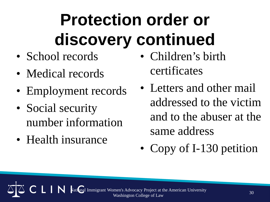# **Protection order or discovery continued**

- School records
- Medical records
- Employment records
- Social security number information
- Health insurance
- Children's birth certificates
- Letters and other mail addressed to the victim and to the abuser at the same address
- Copy of I-130 petition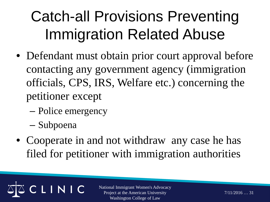## Catch-all Provisions Preventing Immigration Related Abuse

- Defendant must obtain prior court approval before contacting any government agency (immigration officials, CPS, IRS, Welfare etc.) concerning the petitioner except
	- Police emergency

LINIC

- Subpoena
- Cooperate in and not withdraw any case he has filed for petitioner with immigration authorities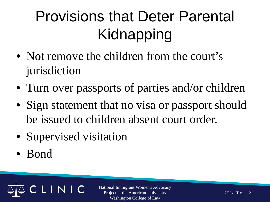## Provisions that Deter Parental Kidnapping

- Not remove the children from the court's jurisdiction
- Turn over passports of parties and/or children
- Sign statement that no visa or passport should be issued to children absent court order.
- Supervised visitation

LINIC

• Bond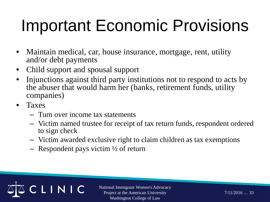# Important Economic Provisions

- Maintain medical, car, house insurance, mortgage, rent, utility and/or debt payments
- Child support and spousal support
- Injunctions against third party institutions not to respond to acts by the abuser that would harm her (banks, retirement funds, utility companies)
- Taxes
	- Turn over income tax statements
	- Victim named trustee for receipt of tax return funds, respondent ordered to sign check
	- Victim awarded exclusive right to claim children as tax exemptions
	- Respondent pays victim  $\frac{1}{2}$  of return

LINIC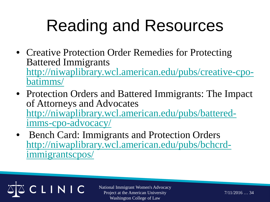# Reading and Resources

- Creative Protection Order Remedies for Protecting Battered Immigrants [http://niwaplibrary.wcl.american.edu/pubs/creative-cpo-](http://niwaplibrary.wcl.american.edu/pubs/creative-cpo-batimms/) [batimms/](http://niwaplibrary.wcl.american.edu/pubs/creative-cpo-batimms/)
- Protection Orders and Battered Immigrants: The Impact of Attorneys and Advocates [http://niwaplibrary.wcl.american.edu/pubs/battered-](http://niwaplibrary.wcl.american.edu/pubs/battered-imms-cpo-advocacy/) [imms-cpo-advocacy/](http://niwaplibrary.wcl.american.edu/pubs/battered-imms-cpo-advocacy/)
- Bench Card: Immigrants and Protection Orders [http://niwaplibrary.wcl.american.edu/pubs/bchcrd-](http://niwaplibrary.wcl.american.edu/pubs/bchcrd-immigrantscpos/) [immigrantscpos/](http://niwaplibrary.wcl.american.edu/pubs/bchcrd-immigrantscpos/)

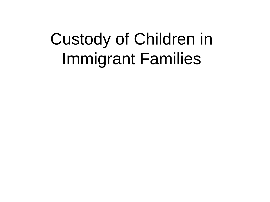# Custody of Children in Immigrant Families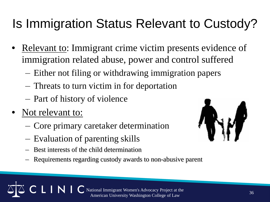#### Is Immigration Status Relevant to Custody?

- Relevant to: Immigrant crime victim presents evidence of immigration related abuse, power and control suffered
	- Either not filing or withdrawing immigration papers
	- Threats to turn victim in for deportation
	- Part of history of violence
- Not relevant to:
	- Core primary caretaker determination
	- Evaluation of parenting skills
	- Best interests of the child determination
	- Requirements regarding custody awards to non-abusive parent

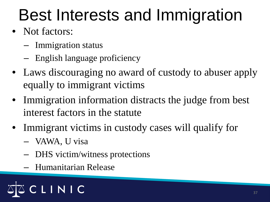# Best Interests and Immigration

- Not factors:
	- Immigration status
	- English language proficiency
- Laws discouraging no award of custody to abuser apply equally to immigrant victims
- Immigration information distracts the judge from best interest factors in the statute
- Immigrant victims in custody cases will qualify for
	- VAWA, U visa
	- DHS victim/witness protections
	- Humanitarian Release

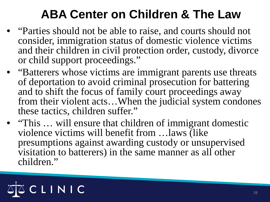#### **ABA Center on Children & The Law**

- "Parties should not be able to raise, and courts should not consider, immigration status of domestic violence victims and their children in civil protection order, custody, divorce or child support proceedings."
- "Batterers whose victims are immigrant parents use threats of deportation to avoid criminal prosecution for battering and to shift the focus of family court proceedings away from their violent acts…When the judicial system condones these tactics, children suffer."
- "This ... will ensure that children of immigrant domestic violence victims will benefit from …laws (like presumptions against awarding custody or unsupervised visitation to batterers) in the same manner as all other children."

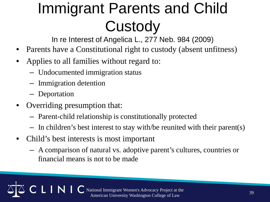## Immigrant Parents and Child **Custody**

In re Interest of Angelica L., 277 Neb. 984 (2009)

- Parents have a Constitutional right to custody (absent unfitness)
- Applies to all families without regard to:
	- Undocumented immigration status
	- Immigration detention
	- Deportation
- Overriding presumption that:

 $\mid N \mid$ 

- Parent-child relationship is constitutionally protected
- In children's best interest to stay with/be reunited with their parent(s)
- Child's best interests is most important
	- A comparison of natural vs. adoptive parent's cultures, countries or financial means is not to be made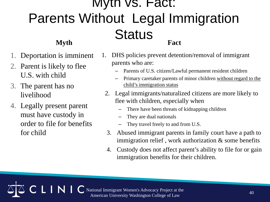#### Myth vs. Fact: Parents Without Legal Immigration **Status Myth Fact**

- Deportation is imminent
- 2. Parent is likely to flee U.S. with child
- 3. The parent has no livelihood
- 4. Legally present parent must have custody in order to file for benefits for child

LINI

- 1. DHS policies prevent detention/removal of immigrant parents who are:
	- Parents of U.S. citizen/Lawful permanent resident children
	- Primary caretaker parents of minor children without regard to the child's immigration status
	- 2. Legal immigrants/naturalized citizens are more likely to flee with children, especially when
		- There have been threats of kidnapping children
		- They are dual nationals
		- They travel freely to and from U.S.
	- 3. Abused immigrant parents in family court have a path to immigration relief, work authorization  $\&$  some benefits
	- 4. Custody does not affect parent's ability to file for or gain immigration benefits for their children.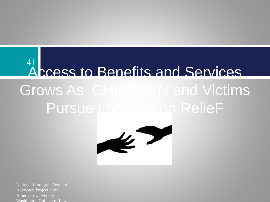#### Access to Benefits and Services Grows As CHILDREN and Victims Pursue Immigration RelieF 41

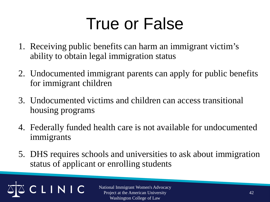# True or False

- 1. Receiving public benefits can harm an immigrant victim's ability to obtain legal immigration status
- 2. Undocumented immigrant parents can apply for public benefits for immigrant children
- 3. Undocumented victims and children can access transitional housing programs
- 4. Federally funded health care is not available for undocumented immigrants
- 5. DHS requires schools and universities to ask about immigration status of applicant or enrolling students

LINIC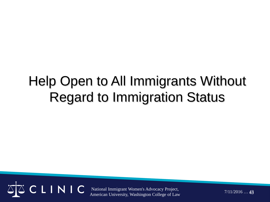#### Help Open to All Immigrants Without Regard to Immigration Status



National Immigrant Women's Advocacy Project, American University, Washington College of Law

 $7/11/2016...43$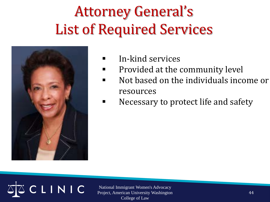### Attorney General's List of Required Services



- $\blacksquare$  In-kind services
- **Provided at the community level**
- Not based on the individuals income or resources
- **Necessary to protect life and safety**

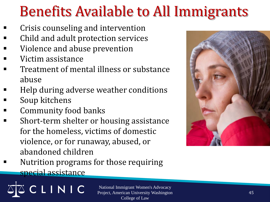#### Benefits Available to All Immigrants

- Crisis counseling and intervention
- Child and adult protection services
- Violence and abuse prevention
- Victim assistance
- Treatment of mental illness or substance abuse
- Help during adverse weather conditions
- Soup kitchens
- Community food banks
- Short-term shelter or housing assistance for the homeless, victims of domestic violence, or for runaway, abused, or abandoned children



 Nutrition programs for those requiring special assistance

LINIC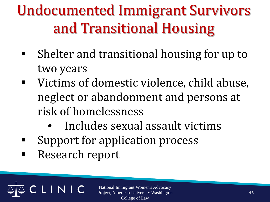Undocumented Immigrant Survivors and Transitional Housing

- Shelter and transitional housing for up to two years
- Victims of domestic violence, child abuse, neglect or abandonment and persons at risk of homelessness
	- Includes sexual assault victims
- Support for application process
- Research report

LINIC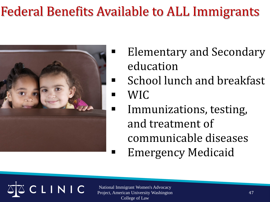#### Federal Benefits Available to ALL Immigrants



- Elementary and Secondary education
- **E** School lunch and breakfast
- $\blacksquare$  WIC
	- Immunizations, testing, and treatment of communicable diseases
	- Emergency Medicaid

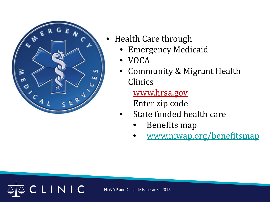

CLINIC

- Health Care through
	- Emergency Medicaid
	- VOCA
	- Community & Migrant Health Clinics

www.hrsa.gov Enter zip code

- State funded health care
	- Benefits map
	- [www.niwap.org/benefitsmap](http://www.niwap.org/benefitsmap)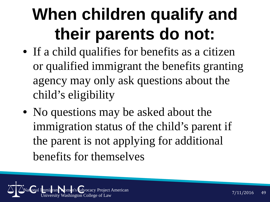# **When children qualify and their parents do not:**

- If a child qualifies for benefits as a citizen or qualified immigrant the benefits granting agency may only ask questions about the child's eligibility
- No questions may be asked about the immigration status of the child's parent if the parent is not applying for additional benefits for themselves

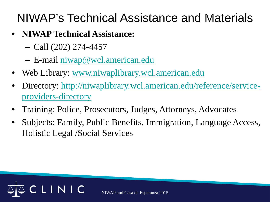#### NIWAP's Technical Assistance and Materials

- **NIWAP Technical Assistance:** 
	- Call (202) 274-4457
	- E-mail [niwap@wcl.american.edu](mailto:niwap@wcl.american.edu)
- Web Library: [www.niwaplibrary.wcl.american.edu](http://www.niwaplibrary.wcl.american.edu/)
- Directory: [http://niwaplibrary.wcl.american.edu/reference/service](http://niwaplibrary.wcl.american.edu/reference/service-providers-directory)[providers-directory](http://niwaplibrary.wcl.american.edu/reference/service-providers-directory)
- Training: Police, Prosecutors, Judges, Attorneys, Advocates
- Subjects: Family, Public Benefits, Immigration, Language Access, Holistic Legal /Social Services

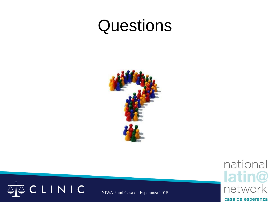### **Questions**





NIWAP and Casa de Esperanza 2015

national latin@ network

casa de esperanza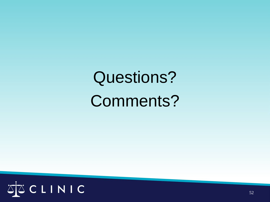# Questions? Comments?